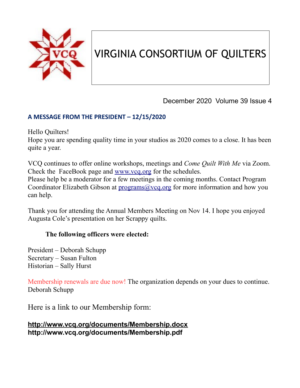

# VIRGINIA CONSORTIUM OF QUILTERS

December 2020 Volume 39 Issue 4

### **A MESSAGE FROM THE PRESIDENT – 12/15/2020**

Hello Quilters!

Hope you are spending quality time in your studios as 2020 comes to a close. It has been quite a year.

VCQ continues to offer online workshops, meetings and *Come Quilt With Me* via Zoom. Check the FaceBook page and [www.vcq.org](http://www.vcq.org/) for the schedules.

Please help be a moderator for a few meetings in the coming months. Contact Program Coordinator Elizabeth Gibson at [programs@vcq.org](mailto:programs@vcq.org) for more information and how you can help.

Thank you for attending the Annual Members Meeting on Nov 14. I hope you enjoyed Augusta Cole's presentation on her Scrappy quilts.

### **The following officers were elected:**

President – Deborah Schupp Secretary – Susan Fulton Historian – Sally Hurst

Membership renewals are due now! The organization depends on your dues to continue. Deborah Schupp

Here is a link to our Membership form:

#### **<http://www.vcq.org/documents/Membership.docx> http://www.vcq.org/documents/Membership.pdf**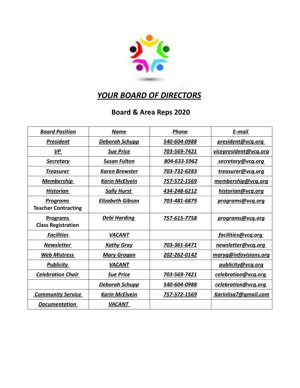

### *YOUR BOARD OF DIRECTORS*

## **Board & Area Reps 2020**

| <b>Board Position</b>                         | <b>Name</b>             | <b>Phone</b> | E-mail                |
|-----------------------------------------------|-------------------------|--------------|-----------------------|
| <b>President</b>                              | <b>Deborah Schupp</b>   | 540-604-0988 | president@vcq.org     |
| <b>VP</b>                                     | <b>Sue Price</b>        | 703-569-7421 | vicepresident@vcq.org |
| <b>Secretary</b>                              | <b>Susan Fulton</b>     | 804-633-5962 | secretary@vcq.org     |
| <b>Treasurer</b>                              | <b>Karen Brewster</b>   | 703-732-6283 | treasurer@vcq.org     |
| <b>Membership</b>                             | <b>Karin McElvein</b>   | 757-572-1569 | membership@vcq.org    |
| <b>Historian</b>                              | <b>Sally Hurst</b>      | 434-248-6212 | historian@vcq.org     |
| <b>Programs</b><br><b>Teacher Contracting</b> | <b>Elizabeth Gibson</b> | 703-481-6879 | programs@vcq.org      |
| <b>Programs</b><br><b>Class Registration</b>  | Debi Harding            | 757-615-7758 | programs@vcg.org      |
| <b>Facilities</b>                             | <b>VACANT</b>           |              | facilities@vcq.org    |
| <b>Newsletter</b>                             | <b>Kathy Gray</b>       | 703-361-6471 | newsletter@vcq.org    |
| <b>Web Mistress</b>                           | <b>Mary Grogan</b>      | 202-262-0142 | maryg@infovisions.org |
| <b>Publicity</b>                              | <b>VACANT</b>           |              | publicity@vcq.org     |
| <b>Celebration Chair</b>                      | <b>Sue Price</b>        | 703-569-7421 | celebration@vcq.org   |
|                                               | <b>Deborah Schupp</b>   | 540-604-0988 | celebration@vcq.org   |
| <b>Community Service</b>                      | <b>Karin McElvein</b>   | 757-572-1569 | Karinlisa7@gmail.com  |
| <b>Documentation</b>                          | <b>VACANT</b>           |              |                       |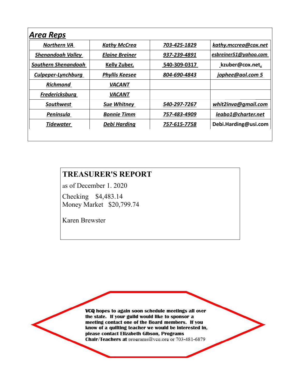| Northern VA               | <b>Kathy McCrea</b>   | 703-425-1829 | kathy.mccrea@cox.net  |
|---------------------------|-----------------------|--------------|-----------------------|
| <b>Shenandoah Valley</b>  | <b>Elaine Breiner</b> | 937-239-4891 | esbreiner51@yahoo.com |
| Southern Shenandoah       | <b>Kelly Zuber,</b>   | 540-309-0317 | kzuber@cox.net,       |
| <b>Culpeper-Lynchburg</b> | <b>Phyllis Keesee</b> | 804-690-4843 | jophee@aol.com 5      |
| <b>Richmond</b>           | <b>VACANT</b>         |              |                       |
| <b>Fredericksburg</b>     | <b>VACANT</b>         |              |                       |
| <b>Southwest</b>          | <b>Sue Whitney</b>    | 540-297-7267 | whit2inva@gmail.com   |
| Peninsula                 | <b>Bonnie Timm</b>    | 757-483-4909 | leabo1@charter.net    |
| <b>Tidewater</b>          | <b>Debi Harding</b>   | 757-615-7758 | Debi.Harding@usi.com  |

### **TREASURER'S REPORT**

as of December 1. 2020 Checking \$4,483.14

Money Market \$20,799.74

Karen Brewster

VCQ hopes to again soon schedule meetings all over the state. If your guild would like to sponsor a meeting contact one of the Board members. If you know of a quilting teacher we would be interested in, please contact Elizabeth Gibson, Programs Chair/Teachers at programs@vcq.org or 703-481-6879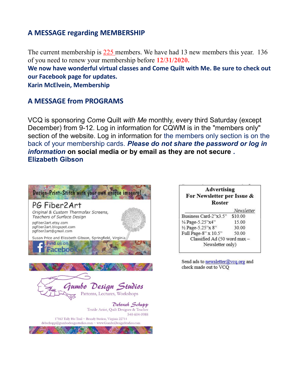#### **A MESSAGE regarding MEMBERSHIP**

The current membership is 225 members. We have had 13 new members this year. 136 of you need to renew your membership before **12/31/2020.**

**We now have wonderful virtual classes and Come Quilt with Me. Be sure to check out our Facebook page for updates.** 

**Karin McElvein, Membership**

#### **A MESSAGE from PROGRAMS**

VCQ is sponsoring *Come* Quilt *with Me* monthly, every third Saturday (except December) from 9-12. Log in information for CQWM is in the "members only" section of the website. Log in information for the members only section is on the back of your membership cards. *Please do not share the password or log in information* **on social media or by email as they are not secure** *.* **Elizabeth Gibson**



| <b>Advertising</b><br>For Newsletter per Issue &<br><b>Roster</b> |            |
|-------------------------------------------------------------------|------------|
|                                                                   | Newsletter |
| Business Card-2"x3.5"                                             | \$10.00    |
| 1/4 Page-5.25"x4"                                                 | 15.00      |
| 1/2 Page-5.25"x 8"                                                | 30.00      |
| Full Page-8" x 10.5"                                              | 50.00      |
| Classified Ad (50 word max -                                      |            |
| Newsletter only)                                                  |            |

Send ads to newsletter@vcq.org and check made out to VCQ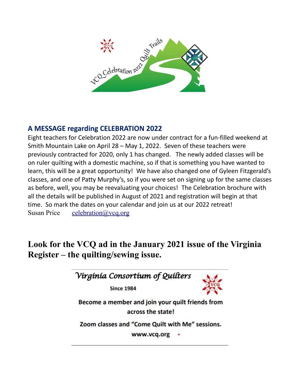

### **A MESSAGE regarding CELEBRATION 2022**

Eight teachers for Celebration 2022 are now under contract for a fun-filled weekend at Smith Mountain Lake on April 28 – May 1, 2022. Seven of these teachers were previously contracted for 2020, only 1 has changed. The newly added classes will be on ruler quilting with a domestic machine, so if that is something you have wanted to learn, this will be a great opportunity! We have also changed one of Gyleen Fitzgerald's classes, and one of Patty Murphy's, so if you were set on signing up for the same classes as before, well, you may be reevaluating your choices! The Celebration brochure with all the details will be published in August of 2021 and registration will begin at that time. So mark the dates on your calendar and join us at our 2022 retreat! Susan Price celebration  $\omega$  vcq.org

## **Look for the VCQ ad in the January 2021 issue of the Virginia Register – the quilting/sewing issue.**

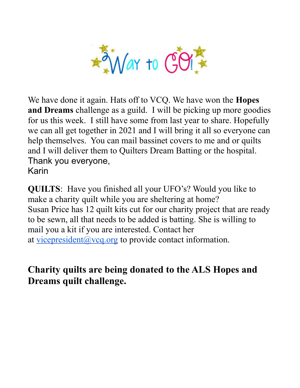

We have done it again. Hats off to VCQ. We have won the **Hopes and Dreams** challenge as a guild. I will be picking up more goodies for us this week. I still have some from last year to share. Hopefully we can all get together in 2021 and I will bring it all so everyone can help themselves. You can mail bassinet covers to me and or quilts and I will deliver them to Quilters Dream Batting or the hospital. Thank you everyone, Karin

**QUILTS**: Have you finished all your UFO's? Would you like to make a charity quilt while you are sheltering at home? Susan Price has 12 quilt kits cut for our charity project that are ready to be sewn, all that needs to be added is batting. She is willing to mail you a kit if you are interested. Contact her at vicepresident  $\omega$  vcg.org to provide contact information.

## **Charity quilts are being donated to the ALS Hopes and Dreams quilt challenge.**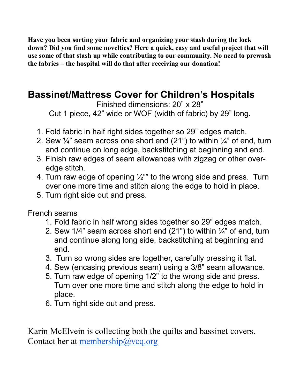**Have you been sorting your fabric and organizing your stash during the lock down? Did you find some novelties? Here a quick, easy and useful project that will use some of that stash up while contributing to our community. No need to prewash the fabrics – the hospital will do that after receiving our donation!**

# **Bassinet/Mattress Cover for Children's Hospitals**

Finished dimensions: 20" x 28" Cut 1 piece, 42" wide or WOF (width of fabric) by 29" long.

- 1. Fold fabric in half right sides together so 29" edges match.
- 2. Sew  $\frac{1}{4}$  seam across one short end (21") to within  $\frac{1}{4}$  of end, turn and continue on long edge, backstitching at beginning and end.
- 3. Finish raw edges of seam allowances with zigzag or other overedge stitch.
- 4. Turn raw edge of opening  $\frac{1}{2}$ " to the wrong side and press. Turn over one more time and stitch along the edge to hold in place.
- 5. Turn right side out and press.

French seams

- 1. Fold fabric in half wrong sides together so 29" edges match.
- 2. Sew 1/4" seam across short end (21") to within ¼" of end, turn and continue along long side, backstitching at beginning and end.
- 3. Turn so wrong sides are together, carefully pressing it flat.
- 4. Sew (encasing previous seam) using a 3/8" seam allowance.
- 5. Turn raw edge of opening 1/2" to the wrong side and press. Turn over one more time and stitch along the edge to hold in place.
- 6. Turn right side out and press.

Karin McElvein is collecting both the quilts and bassinet covers. Contact her at [membership@vcq.org](mailto:membership@vcq.org)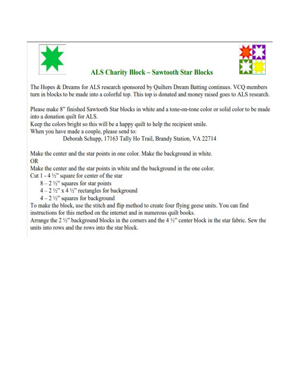



### **ALS Charity Block - Sawtooth Star Blocks**

The Hopes & Dreams for ALS research sponsored by Quilters Dream Batting continues. VCQ members turn in blocks to be made into a colorful top. This top is donated and money raised goes to ALS research.

Please make 8" finished Sawtooth Star blocks in white and a tone-on-tone color or solid color to be made into a donation quilt for ALS.

Keep the colors bright so this will be a happy quilt to help the recipient smile.

When you have made a couple, please send to:

Deborah Schupp, 17163 Tally Ho Trail, Brandy Station, VA 22714

Make the center and the star points in one color. Make the background in white. **OR** 

Make the center and the star points in white and the background in the one color.

Cut  $1 - 4\frac{1}{2}$ " square for center of the star

- $8 2\frac{1}{2}$ " squares for star points
- $4-2\frac{1}{2}$ " x 4 ½" rectangles for background
- $4 2\frac{1}{2}$ " squares for background

To make the block, use the stitch and flip method to create four flying geese units. You can find instructions for this method on the internet and in numerous quilt books.

Arrange the 2  $\frac{1}{2}$ " background blocks in the corners and the 4  $\frac{1}{2}$ " center block in the star fabric. Sew the units into rows and the rows into the star block.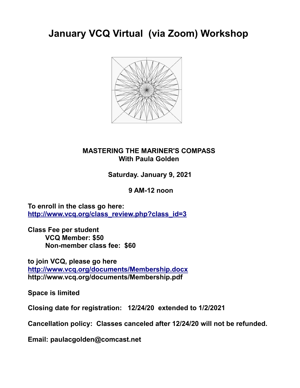**January VCQ Virtual (via Zoom) Workshop** 



### **MASTERING THE MARINER'S COMPASS With Paula Golden**

**Saturday. January 9, 2021**

 **9 AM-12 noon**

**To enroll in the class go here: [http://www.vcq.org/class\\_review.php?class\\_id=3](http://www.vcq.org/class_review.php?class_id=3)**

**Class Fee per student VCQ Member: \$50 Non-member class fee: \$60** 

**to join VCQ, please go here <http://www.vcq.org/documents/Membership.docx> http://www.vcq.org/documents/Membership.pdf**

**Space is limited**

**Closing date for registration: 12/24/20 extended to 1/2/2021**

**Cancellation policy: Classes canceled after 12/24/20 will not be refunded.** 

**Email: paulacgolden@comcast.net**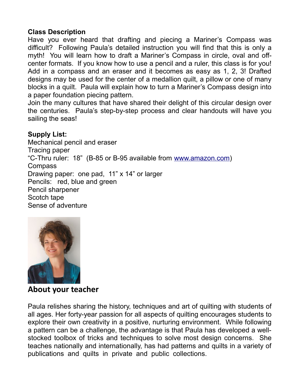#### **Class Description**

Have you ever heard that drafting and piecing a Mariner's Compass was difficult? Following Paula's detailed instruction you will find that this is only a myth! You will learn how to draft a Mariner's Compass in circle, oval and offcenter formats. If you know how to use a pencil and a ruler, this class is for you! Add in a compass and an eraser and it becomes as easy as 1, 2, 3! Drafted designs may be used for the center of a medallion quilt, a pillow or one of many blocks in a quilt. Paula will explain how to turn a Mariner's Compass design into a paper foundation piecing pattern.

Join the many cultures that have shared their delight of this circular design over the centuries. Paula's step-by-step process and clear handouts will have you sailing the seas!

### **Supply List:**

Mechanical pencil and eraser Tracing paper "C-Thru ruler: 18" (B-85 or B-95 available from [www.amazon.com\)](about:blank) Compass Drawing paper: one pad, 11" x 14" or larger Pencils: red, blue and green Pencil sharpener Scotch tape Sense of adventure



### **About your teacher**

Paula relishes sharing the history, techniques and art of quilting with students of all ages. Her forty-year passion for all aspects of quilting encourages students to explore their own creativity in a positive, nurturing environment. While following a pattern can be a challenge, the advantage is that Paula has developed a wellstocked toolbox of tricks and techniques to solve most design concerns. She teaches nationally and internationally, has had patterns and quilts in a variety of publications and quilts in private and public collections.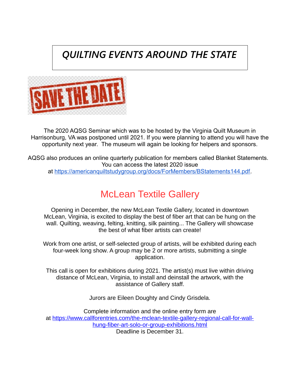# *QUILTING EVENTS AROUND THE STATE*



The 2020 AQSG Seminar which was to be hosted by the Virginia Quilt Museum in Harrisonburg, VA was postponed until 2021. If you were planning to attend you will have the opportunity next year. The museum will again be looking for helpers and sponsors.

AQSG also produces an online quarterly publication for members called Blanket Statements. You can access the latest 2020 issue

at [https://americanquiltstudygroup.org/docs/ForMembers/BStatements144.pdf.](https://americanquiltstudygroup.org/docs/ForMembers/BStatements144.pdf)

# McLean Textile Gallery

Opening in December, the new McLean Textile Gallery, located in downtown McLean, Virginia, is excited to display the best of fiber art that can be hung on the wall. Quilting, weaving, felting, knitting, silk painting... The Gallery will showcase the best of what fiber artists can create!

Work from one artist, or self-selected group of artists, will be exhibited during each four-week long show. A group may be 2 or more artists, submitting a single application.

This call is open for exhibitions during 2021. The artist(s) must live within driving distance of McLean, Virginia, to install and deinstall the artwork, with the assistance of Gallery staff.

Jurors are Eileen Doughty and Cindy Grisdela.

Complete information and the online entry form are at [https://www.callforentries.com/the-mclean-textile-gallery-regional-call-for-wall](https://www.callforentries.com/the-mclean-textile-gallery-regional-call-for-wall-hung-fiber-art-solo-or-group-exhibitions.html)[hung-fiber-art-solo-or-group-exhibitions.html](https://www.callforentries.com/the-mclean-textile-gallery-regional-call-for-wall-hung-fiber-art-solo-or-group-exhibitions.html) Deadline is December 31.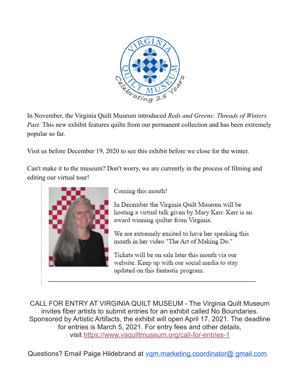

In November, the Virginia Quilt Museum introduced *Reds and Greens: Threads of Winters Past.* This new exhibit features quilts from our permanent collection and has been extremely popular so far.

Visit us before December 19, 2020 to see this exhibit before we close for the winter.

Can't make it to the museum? Don't worry, we are currently in the process of filming and editing our virtual tour!



Coming this month!

In December the Virginia Quilt Museum will be hosting a virtual talk given by Mary Kerr. Kerr is an award winning quilter from Virginia.

We are extremely excited to have her speaking this month in her video "The Art of Making Do."

Tickets will be on sale later this month via our website. Keep up with our social media to stay updated on this fantastic program.

CALL FOR ENTRY AT VIRGINIA QUILT MUSEUM - The Virginia Quilt Museum invites fiber artists to submit entries for an exhibit called No Boundaries. Sponsored by Artistic Artifacts, the exhibit will open April 17, 2021. The deadline for entries is March 5, 2021. For entry fees and other details, visit <https://www.vaquiltmuseum.org/call-for-entries-1>

Questions? Email Paige Hildebrand at [vqm.marketing.coordinator@ gmail.com](mailto:vqm.marketing.coordinator@gmail.com)